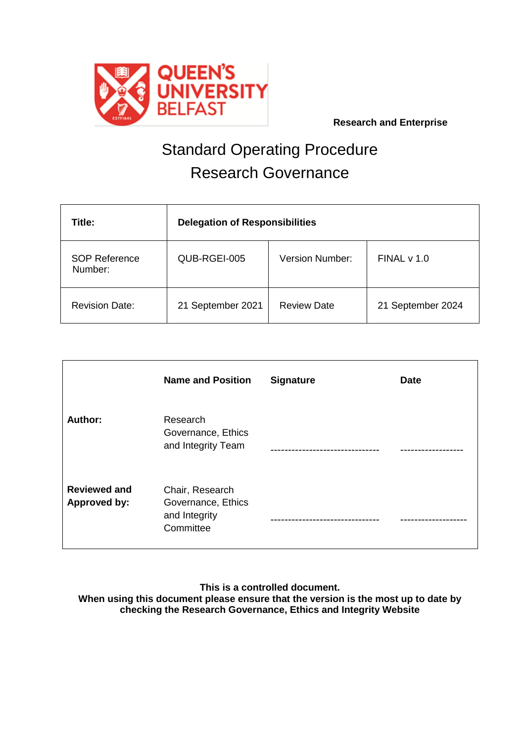

# Standard Operating Procedure Research Governance

| Title:                          | <b>Delegation of Responsibilities</b> |                        |                   |  |
|---------------------------------|---------------------------------------|------------------------|-------------------|--|
| <b>SOP Reference</b><br>Number: | QUB-RGEI-005                          | <b>Version Number:</b> | FINALV1.0         |  |
| <b>Revision Date:</b>           | 21 September 2021                     | <b>Review Date</b>     | 21 September 2024 |  |

|                                     | <b>Name and Position</b>                                            | <b>Signature</b> | <b>Date</b> |
|-------------------------------------|---------------------------------------------------------------------|------------------|-------------|
| Author:                             | Research<br>Governance, Ethics<br>and Integrity Team                |                  |             |
| <b>Reviewed and</b><br>Approved by: | Chair, Research<br>Governance, Ethics<br>and Integrity<br>Committee |                  |             |

**This is a controlled document.**

**When using this document please ensure that the version is the most up to date by checking the Research Governance, Ethics and Integrity Website**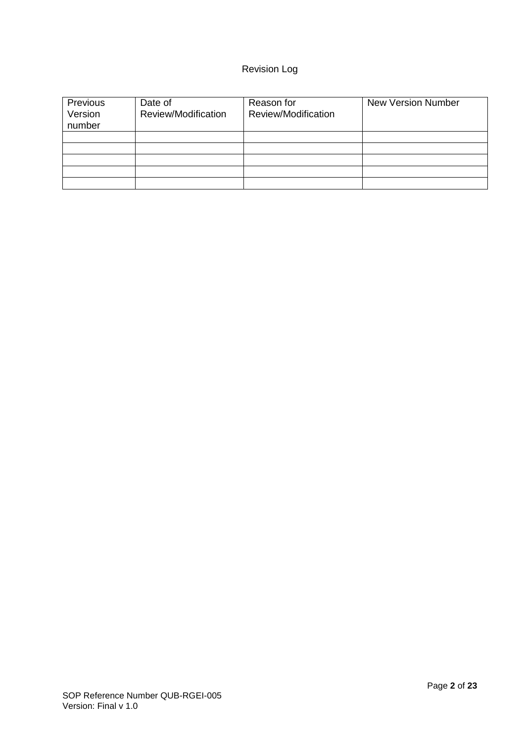# Revision Log

| Previous<br>Version<br>number | Date of<br>Review/Modification | Reason for<br>Review/Modification | <b>New Version Number</b> |
|-------------------------------|--------------------------------|-----------------------------------|---------------------------|
|                               |                                |                                   |                           |
|                               |                                |                                   |                           |
|                               |                                |                                   |                           |
|                               |                                |                                   |                           |
|                               |                                |                                   |                           |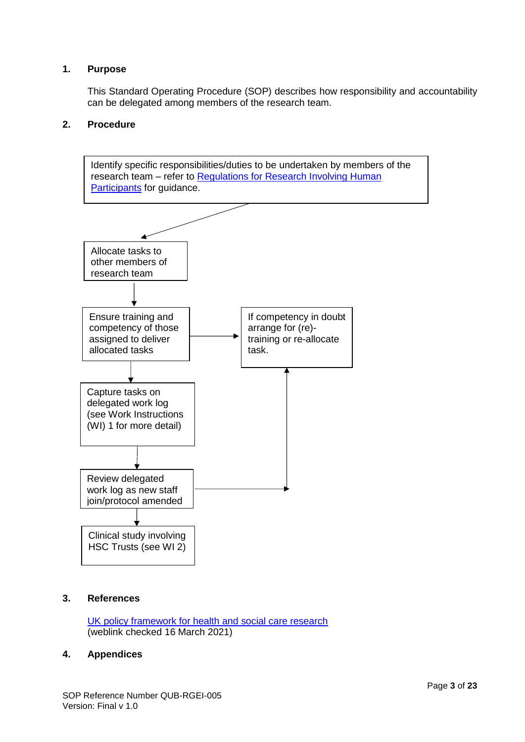# **1. Purpose**

This Standard Operating Procedure (SOP) describes how responsibility and accountability can be delegated among members of the research team.

# **2. Procedure**



# **3. References**

[UK policy framework for health and social care research](https://research.hscni.net/approval-research-hsc#Framework)  (weblink checked 16 March 2021)

# **4. Appendices**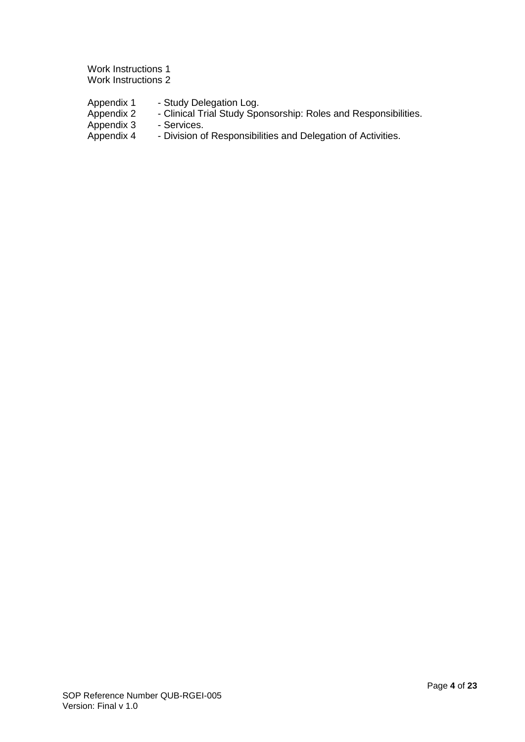Work Instructions 1 Work Instructions 2

| Appendix 1 | - Study Delegation Log.                                         |
|------------|-----------------------------------------------------------------|
| Appendix 2 | - Clinical Trial Study Sponsorship: Roles and Responsibilities. |
| Appendix 3 | - Services.                                                     |
| Appendix 4 | - Division of Responsibilities and Delegation of Activities.    |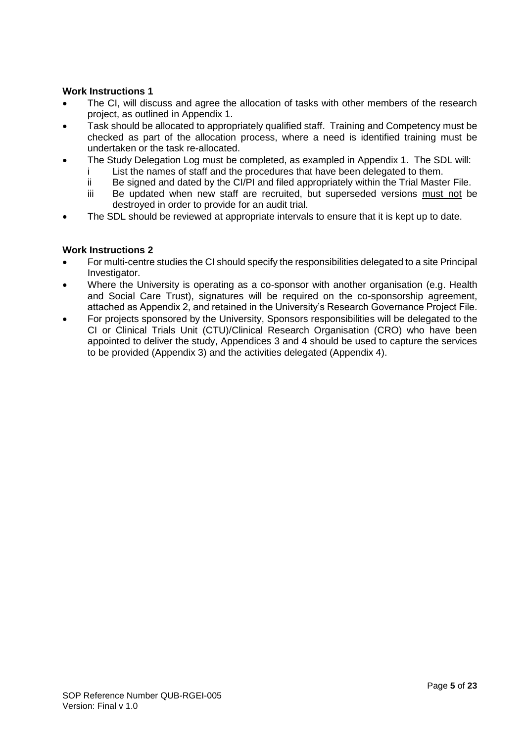# **Work Instructions 1**

- The CI, will discuss and agree the allocation of tasks with other members of the research project, as outlined in Appendix 1.
- Task should be allocated to appropriately qualified staff. Training and Competency must be checked as part of the allocation process, where a need is identified training must be undertaken or the task re-allocated.
- The Study Delegation Log must be completed, as exampled in Appendix 1. The SDL will:
	- i List the names of staff and the procedures that have been delegated to them.
	- ii Be signed and dated by the CI/PI and filed appropriately within the Trial Master File.
	- iii Be updated when new staff are recruited, but superseded versions must not be destroyed in order to provide for an audit trial.
- The SDL should be reviewed at appropriate intervals to ensure that it is kept up to date.

# **Work Instructions 2**

- For multi-centre studies the CI should specify the responsibilities delegated to a site Principal Investigator.
- Where the University is operating as a co-sponsor with another organisation (e.g. Health and Social Care Trust), signatures will be required on the co-sponsorship agreement, attached as Appendix 2, and retained in the University's Research Governance Project File.
- For projects sponsored by the University, Sponsors responsibilities will be delegated to the CI or Clinical Trials Unit (CTU)/Clinical Research Organisation (CRO) who have been appointed to deliver the study, Appendices 3 and 4 should be used to capture the services to be provided (Appendix 3) and the activities delegated (Appendix 4).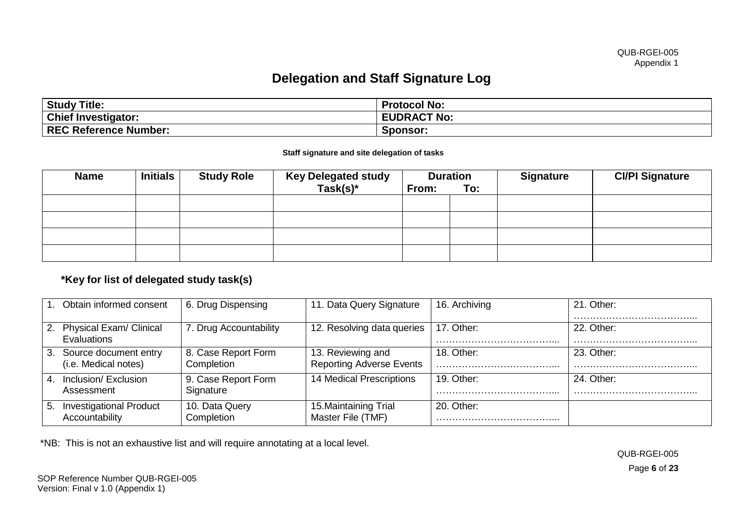# **Delegation and Staff Signature Log**

| <b>Study Title:</b>          | <b>Protocol No:</b> |
|------------------------------|---------------------|
| <b>Chief Investigator:</b>   | <b>EUDRACT No:</b>  |
| <b>REC Reference Number:</b> | Sponsor:            |

#### **Staff signature and site delegation of tasks**

| <b>Name</b> | <b>Initials</b> | <b>Study Role</b> | <b>Key Delegated study</b><br>$Task(s)^*$ | From: | <b>Duration</b><br>To: | <b>Signature</b> | <b>CI/PI Signature</b> |
|-------------|-----------------|-------------------|-------------------------------------------|-------|------------------------|------------------|------------------------|
|             |                 |                   |                                           |       |                        |                  |                        |
|             |                 |                   |                                           |       |                        |                  |                        |
|             |                 |                   |                                           |       |                        |                  |                        |
|             |                 |                   |                                           |       |                        |                  |                        |

# **\*Key for list of delegated study task(s)**

|    | . Obtain informed consent                        | 6. Drug Dispensing                | 11. Data Query Signature                             | 16. Archiving | 21. Other: |
|----|--------------------------------------------------|-----------------------------------|------------------------------------------------------|---------------|------------|
|    | 2. Physical Exam/ Clinical<br><b>Evaluations</b> | . Drug Accountability             | 12. Resolving data queries                           | 17. Other:    | 22. Other: |
|    | 3. Source document entry<br>(i.e. Medical notes) | 8. Case Report Form<br>Completion | 13. Reviewing and<br><b>Reporting Adverse Events</b> | 18. Other:    | 23. Other: |
| 4. | Inclusion/ Exclusion<br>Assessment               | 9. Case Report Form<br>Signature  | 14 Medical Prescriptions                             | 19. Other:    | 24. Other: |
| 5. | <b>Investigational Product</b><br>Accountability | 10. Data Query<br>Completion      | 15. Maintaining Trial<br>Master File (TMF)           | 20. Other:    |            |

\*NB: This is not an exhaustive list and will require annotating at a local level.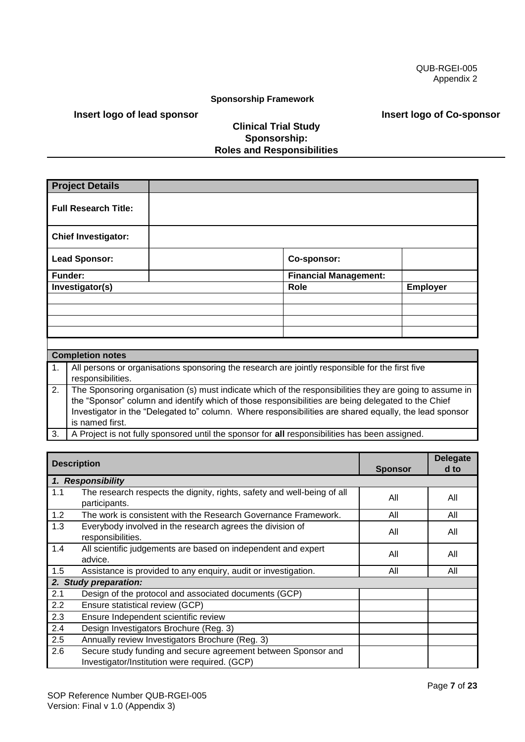#### **Sponsorship Framework**

#### **Insert logo of lead sponsor**

# **Clinical Trial Study Sponsorship: Roles and Responsibilities**

**Project Details Full Research Title: Chief Investigator: Lead Sponsor: Co-sponsor: Funder: Financial Management: Investigator(s) Role Employer** 

|    | <b>Completion notes</b>                                                                                              |
|----|----------------------------------------------------------------------------------------------------------------------|
| 1. | All persons or organisations sponsoring the research are jointly responsible for the first five<br>responsibilities. |
| 2. | The Sponsoring organisation (s) must indicate which of the responsibilities they are going to assume in              |
|    | the "Sponsor" column and identify which of those responsibilities are being delegated to the Chief                   |
|    | Investigator in the "Delegated to" column. Where responsibilities are shared equally, the lead sponsor               |
|    | is named first.                                                                                                      |
| 3. | A Project is not fully sponsored until the sponsor for all responsibilities has been assigned.                       |

|     | <b>Description</b>                                                                                             |                | <b>Delegate</b> |
|-----|----------------------------------------------------------------------------------------------------------------|----------------|-----------------|
|     |                                                                                                                | <b>Sponsor</b> | d to            |
|     | 1. Responsibility                                                                                              |                |                 |
| 1.1 | The research respects the dignity, rights, safety and well-being of all<br>participants.                       | All            | All             |
| 1.2 | The work is consistent with the Research Governance Framework.                                                 | All            | All             |
| 1.3 | Everybody involved in the research agrees the division of<br>responsibilities.                                 | All            | All             |
| 1.4 | All scientific judgements are based on independent and expert<br>advice.                                       | All            | All             |
| 1.5 | Assistance is provided to any enquiry, audit or investigation.                                                 | All            | All             |
|     | 2. Study preparation:                                                                                          |                |                 |
| 2.1 | Design of the protocol and associated documents (GCP)                                                          |                |                 |
| 2.2 | Ensure statistical review (GCP)                                                                                |                |                 |
| 2.3 | Ensure Independent scientific review                                                                           |                |                 |
| 2.4 | Design Investigators Brochure (Reg. 3)                                                                         |                |                 |
| 2.5 | Annually review Investigators Brochure (Reg. 3)                                                                |                |                 |
| 2.6 | Secure study funding and secure agreement between Sponsor and<br>Investigator/Institution were required. (GCP) |                |                 |

 **Insert logo of Co-sponsor**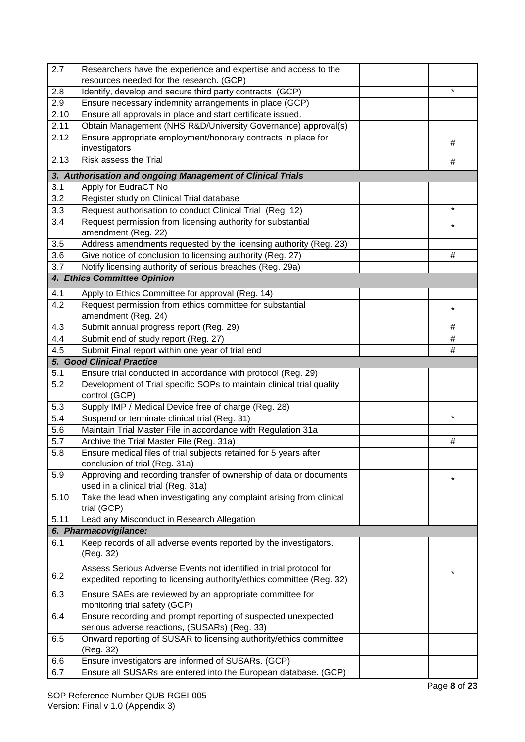| 2.7              | Researchers have the experience and expertise and access to the                                                                             |          |
|------------------|---------------------------------------------------------------------------------------------------------------------------------------------|----------|
|                  | resources needed for the research. (GCP)                                                                                                    |          |
| 2.8              | Identify, develop and secure third party contracts (GCP)                                                                                    | $\star$  |
| 2.9              | Ensure necessary indemnity arrangements in place (GCP)                                                                                      |          |
| 2.10             | Ensure all approvals in place and start certificate issued.                                                                                 |          |
| 2.11             | Obtain Management (NHS R&D/University Governance) approval(s)                                                                               |          |
| 2.12             | Ensure appropriate employment/honorary contracts in place for<br>investigators                                                              | #        |
| 2.13             | Risk assess the Trial                                                                                                                       | #        |
|                  | 3. Authorisation and ongoing Management of Clinical Trials                                                                                  |          |
| 3.1              | Apply for EudraCT No                                                                                                                        |          |
| 3.2              | Register study on Clinical Trial database                                                                                                   |          |
| 3.3              | Request authorisation to conduct Clinical Trial (Reg. 12)                                                                                   | $\star$  |
| 3.4              | Request permission from licensing authority for substantial                                                                                 |          |
|                  | amendment (Reg. 22)                                                                                                                         | $^\star$ |
| 3.5              | Address amendments requested by the licensing authority (Reg. 23)                                                                           |          |
| 3.6              | Give notice of conclusion to licensing authority (Reg. 27)                                                                                  | #        |
| 3.7              | Notify licensing authority of serious breaches (Reg. 29a)                                                                                   |          |
|                  | 4. Ethics Committee Opinion                                                                                                                 |          |
| 4.1              | Apply to Ethics Committee for approval (Reg. 14)                                                                                            |          |
| 4.2              | Request permission from ethics committee for substantial                                                                                    | *        |
|                  | amendment (Reg. 24)                                                                                                                         |          |
| 4.3              | Submit annual progress report (Reg. 29)                                                                                                     | #        |
| 4.4              | Submit end of study report (Reg. 27)                                                                                                        | $\#$     |
| 4.5              | Submit Final report within one year of trial end                                                                                            | $\#$     |
|                  | <b>5. Good Clinical Practice</b>                                                                                                            |          |
| 5.1              | Ensure trial conducted in accordance with protocol (Reg. 29)                                                                                |          |
| 5.2              | Development of Trial specific SOPs to maintain clinical trial quality<br>control (GCP)                                                      |          |
| $5.\overline{3}$ | Supply IMP / Medical Device free of charge (Reg. 28)                                                                                        |          |
| 5.4              | Suspend or terminate clinical trial (Reg. 31)                                                                                               | $^\star$ |
| 5.6              | Maintain Trial Master File in accordance with Regulation 31a                                                                                |          |
| 5.7              | Archive the Trial Master File (Reg. 31a)                                                                                                    | $\#$     |
| 5.8              | Ensure medical files of trial subjects retained for 5 years after                                                                           |          |
|                  | conclusion of trial (Reg. 31a)                                                                                                              |          |
| 5.9              | Approving and recording transfer of ownership of data or documents                                                                          | $^\star$ |
|                  | used in a clinical trial (Reg. 31a)                                                                                                         |          |
| 5.10             | Take the lead when investigating any complaint arising from clinical<br>trial (GCP)                                                         |          |
| 5.11             | Lead any Misconduct in Research Allegation                                                                                                  |          |
|                  | 6. Pharmacovigilance:                                                                                                                       |          |
| 6.1              | Keep records of all adverse events reported by the investigators.                                                                           |          |
|                  | (Reg. 32)                                                                                                                                   |          |
| 6.2              | Assess Serious Adverse Events not identified in trial protocol for<br>expedited reporting to licensing authority/ethics committee (Reg. 32) | $\ast$   |
|                  |                                                                                                                                             |          |
| 6.3              | Ensure SAEs are reviewed by an appropriate committee for<br>monitoring trial safety (GCP)                                                   |          |
| 6.4              | Ensure recording and prompt reporting of suspected unexpected<br>serious adverse reactions, (SUSARs) (Reg. 33)                              |          |
| 6.5              | Onward reporting of SUSAR to licensing authority/ethics committee                                                                           |          |
|                  | (Reg. 32)                                                                                                                                   |          |
| 6.6              | Ensure investigators are informed of SUSARs. (GCP)                                                                                          |          |
| 6.7              | Ensure all SUSARs are entered into the European database. (GCP)                                                                             |          |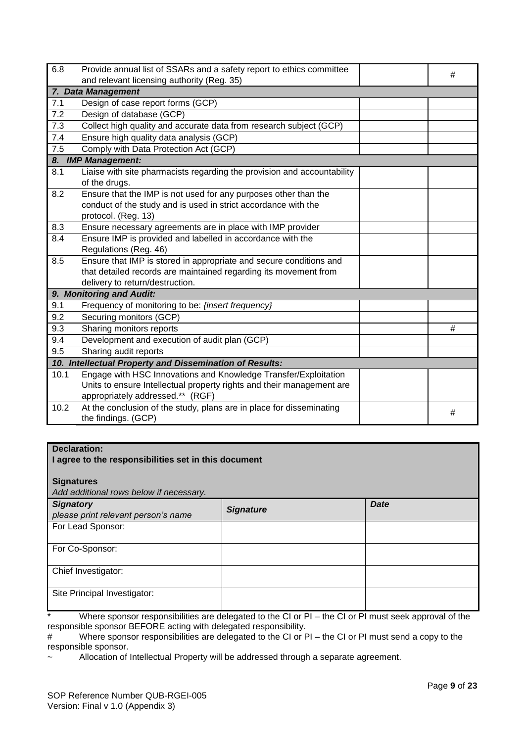| 6.8  | Provide annual list of SSARs and a safety report to ethics committee    | # |
|------|-------------------------------------------------------------------------|---|
|      | and relevant licensing authority (Reg. 35)                              |   |
|      | 7. Data Management                                                      |   |
| 7.1  | Design of case report forms (GCP)                                       |   |
| 7.2  | Design of database (GCP)                                                |   |
| 7.3  | Collect high quality and accurate data from research subject (GCP)      |   |
| 7.4  | Ensure high quality data analysis (GCP)                                 |   |
| 7.5  | Comply with Data Protection Act (GCP)                                   |   |
|      | 8. IMP Management:                                                      |   |
| 8.1  | Liaise with site pharmacists regarding the provision and accountability |   |
|      | of the drugs.                                                           |   |
| 8.2  | Ensure that the IMP is not used for any purposes other than the         |   |
|      | conduct of the study and is used in strict accordance with the          |   |
|      | protocol. (Reg. 13)                                                     |   |
| 8.3  | Ensure necessary agreements are in place with IMP provider              |   |
| 8.4  | Ensure IMP is provided and labelled in accordance with the              |   |
|      | Regulations (Reg. 46)                                                   |   |
| 8.5  | Ensure that IMP is stored in appropriate and secure conditions and      |   |
|      | that detailed records are maintained regarding its movement from        |   |
|      | delivery to return/destruction.                                         |   |
|      | 9. Monitoring and Audit:                                                |   |
| 9.1  | Frequency of monitoring to be: {insert frequency}                       |   |
| 9.2  | Securing monitors (GCP)                                                 |   |
| 9.3  | Sharing monitors reports                                                | # |
| 9.4  | Development and execution of audit plan (GCP)                           |   |
| 9.5  | Sharing audit reports                                                   |   |
|      | 10. Intellectual Property and Dissemination of Results:                 |   |
| 10.1 | Engage with HSC Innovations and Knowledge Transfer/Exploitation         |   |
|      | Units to ensure Intellectual property rights and their management are   |   |
|      | appropriately addressed.** (RGF)                                        |   |
| 10.2 | At the conclusion of the study, plans are in place for disseminating    | # |
|      | the findings. (GCP)                                                     |   |

# **Declaration:**

#### **I agree to the responsibilities set in this document**

**Signatures** 

*Add additional rows below if necessary.*

| <b>Signatory</b><br>please print relevant person's name | <b>Signature</b> | <b>Date</b> |
|---------------------------------------------------------|------------------|-------------|
| For Lead Sponsor:                                       |                  |             |
| For Co-Sponsor:                                         |                  |             |
| Chief Investigator:                                     |                  |             |
| Site Principal Investigator:                            |                  |             |

Where sponsor responsibilities are delegated to the CI or PI – the CI or PI must seek approval of the responsible sponsor BEFORE acting with delegated responsibility.

# Where sponsor responsibilities are delegated to the CI or PI – the CI or PI must send a copy to the responsible sponsor.

Allocation of Intellectual Property will be addressed through a separate agreement.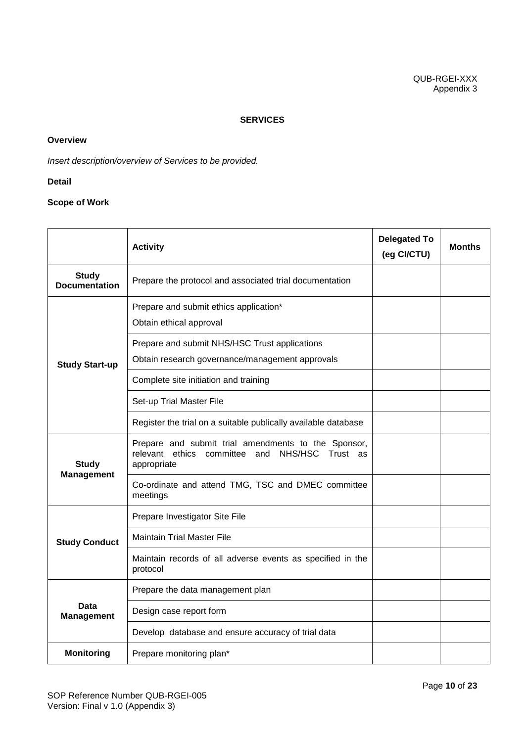#### **SERVICES**

#### **Overview**

*Insert description/overview of Services to be provided.*

#### **Detail**

# **Scope of Work**

|                                      | <b>Activity</b>                                                                                                      | <b>Delegated To</b><br>(eg CI/CTU) | <b>Months</b> |
|--------------------------------------|----------------------------------------------------------------------------------------------------------------------|------------------------------------|---------------|
| <b>Study</b><br><b>Documentation</b> | Prepare the protocol and associated trial documentation                                                              |                                    |               |
|                                      | Prepare and submit ethics application*<br>Obtain ethical approval                                                    |                                    |               |
| <b>Study Start-up</b>                | Prepare and submit NHS/HSC Trust applications<br>Obtain research governance/management approvals                     |                                    |               |
|                                      | Complete site initiation and training                                                                                |                                    |               |
|                                      | Set-up Trial Master File                                                                                             |                                    |               |
|                                      | Register the trial on a suitable publically available database                                                       |                                    |               |
| <b>Study</b>                         | Prepare and submit trial amendments to the Sponsor,<br>relevant ethics committee and NHS/HSC Trust as<br>appropriate |                                    |               |
| <b>Management</b>                    | Co-ordinate and attend TMG, TSC and DMEC committee<br>meetings                                                       |                                    |               |
|                                      | Prepare Investigator Site File                                                                                       |                                    |               |
| <b>Study Conduct</b>                 | <b>Maintain Trial Master File</b>                                                                                    |                                    |               |
|                                      | Maintain records of all adverse events as specified in the<br>protocol                                               |                                    |               |
|                                      | Prepare the data management plan                                                                                     |                                    |               |
| Data<br><b>Management</b>            | Design case report form                                                                                              |                                    |               |
|                                      | Develop database and ensure accuracy of trial data                                                                   |                                    |               |
| <b>Monitoring</b>                    | Prepare monitoring plan*                                                                                             |                                    |               |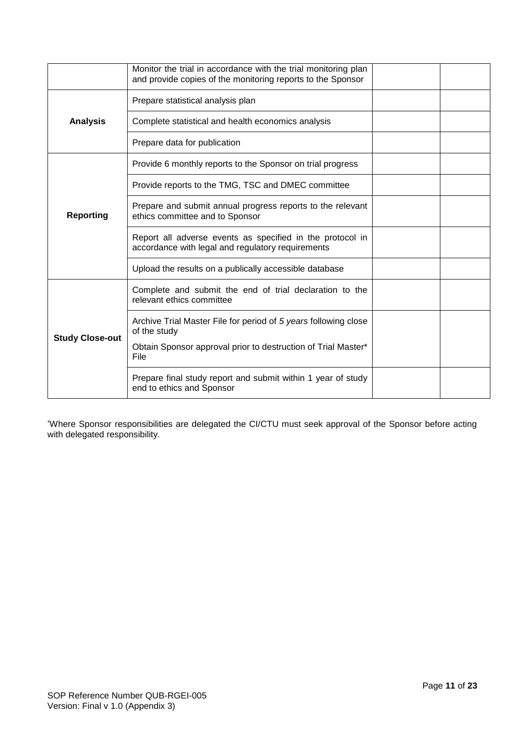|                        | Monitor the trial in accordance with the trial monitoring plan<br>and provide copies of the monitoring reports to the Sponsor |  |
|------------------------|-------------------------------------------------------------------------------------------------------------------------------|--|
|                        | Prepare statistical analysis plan                                                                                             |  |
| <b>Analysis</b>        | Complete statistical and health economics analysis                                                                            |  |
|                        | Prepare data for publication                                                                                                  |  |
|                        | Provide 6 monthly reports to the Sponsor on trial progress                                                                    |  |
|                        | Provide reports to the TMG, TSC and DMEC committee                                                                            |  |
| <b>Reporting</b>       | Prepare and submit annual progress reports to the relevant<br>ethics committee and to Sponsor                                 |  |
|                        | Report all adverse events as specified in the protocol in<br>accordance with legal and regulatory requirements                |  |
|                        | Upload the results on a publically accessible database                                                                        |  |
|                        | Complete and submit the end of trial declaration to the<br>relevant ethics committee                                          |  |
| <b>Study Close-out</b> | Archive Trial Master File for period of 5 years following close<br>of the study                                               |  |
|                        | Obtain Sponsor approval prior to destruction of Trial Master*<br>File                                                         |  |
|                        | Prepare final study report and submit within 1 year of study<br>end to ethics and Sponsor                                     |  |

\*Where Sponsor responsibilities are delegated the CI/CTU must seek approval of the Sponsor before acting with delegated responsibility.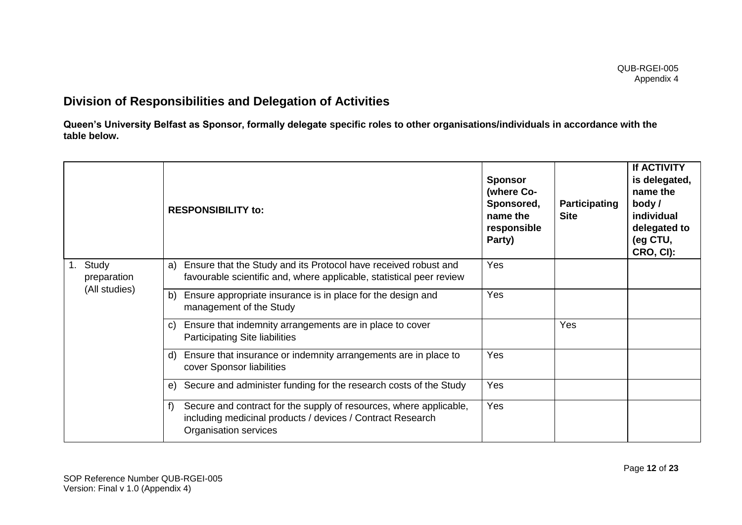# **Division of Responsibilities and Delegation of Activities**

**Queen's University Belfast as Sponsor, formally delegate specific roles to other organisations/individuals in accordance with the table below.**

|                        |             | <b>RESPONSIBILITY to:</b>                                                                                                                                       | <b>Sponsor</b><br>(where Co-<br>Sponsored,<br>name the<br>responsible<br>Party) | <b>Participating</b><br><b>Site</b> | <b>If ACTIVITY</b><br>is delegated,<br>name the<br>body /<br>individual<br>delegated to<br>(eg CTU,<br>CRO, CI): |
|------------------------|-------------|-----------------------------------------------------------------------------------------------------------------------------------------------------------------|---------------------------------------------------------------------------------|-------------------------------------|------------------------------------------------------------------------------------------------------------------|
| Study<br>(All studies) | preparation | Ensure that the Study and its Protocol have received robust and<br>a)<br>favourable scientific and, where applicable, statistical peer review                   | Yes                                                                             |                                     |                                                                                                                  |
|                        |             | Ensure appropriate insurance is in place for the design and<br>b)<br>management of the Study                                                                    | Yes                                                                             |                                     |                                                                                                                  |
|                        |             | Ensure that indemnity arrangements are in place to cover<br>C)<br><b>Participating Site liabilities</b>                                                         |                                                                                 | Yes                                 |                                                                                                                  |
|                        |             | Ensure that insurance or indemnity arrangements are in place to<br>d)<br>cover Sponsor liabilities                                                              | Yes                                                                             |                                     |                                                                                                                  |
|                        |             | Secure and administer funding for the research costs of the Study<br>$\Theta$                                                                                   | Yes                                                                             |                                     |                                                                                                                  |
|                        |             | Secure and contract for the supply of resources, where applicable,<br>f)<br>including medicinal products / devices / Contract Research<br>Organisation services | Yes                                                                             |                                     |                                                                                                                  |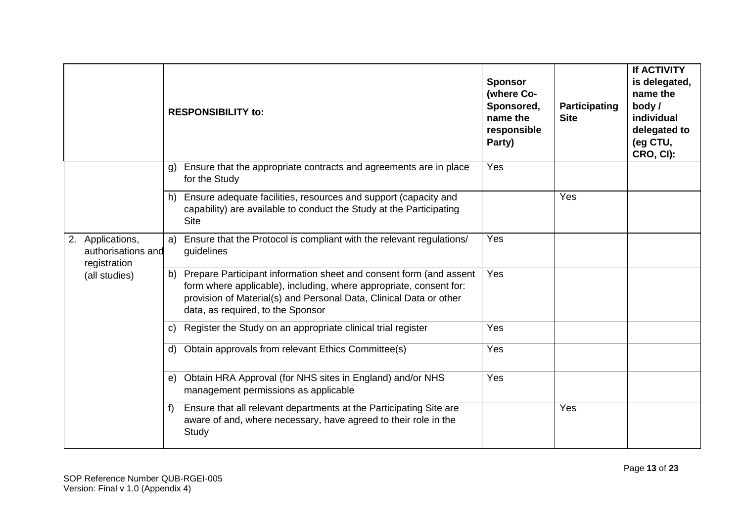|                                                        | <b>RESPONSIBILITY to:</b>                                                                                                                                                                                                                              | <b>Sponsor</b><br>(where Co-<br>Sponsored,<br>name the<br>responsible<br>Party) | Participating<br><b>Site</b> | <b>If ACTIVITY</b><br>is delegated,<br>name the<br>body /<br>individual<br>delegated to<br>(eg CTU,<br>CRO, CI): |
|--------------------------------------------------------|--------------------------------------------------------------------------------------------------------------------------------------------------------------------------------------------------------------------------------------------------------|---------------------------------------------------------------------------------|------------------------------|------------------------------------------------------------------------------------------------------------------|
|                                                        | Ensure that the appropriate contracts and agreements are in place<br>$\mathfrak{g}$<br>for the Study                                                                                                                                                   | Yes                                                                             |                              |                                                                                                                  |
|                                                        | h) Ensure adequate facilities, resources and support (capacity and<br>capability) are available to conduct the Study at the Participating<br><b>Site</b>                                                                                               |                                                                                 | Yes                          |                                                                                                                  |
| 2. Applications,<br>authorisations and<br>registration | a) Ensure that the Protocol is compliant with the relevant regulations/<br>guidelines                                                                                                                                                                  | Yes                                                                             |                              |                                                                                                                  |
| (all studies)                                          | b) Prepare Participant information sheet and consent form (and assent<br>form where applicable), including, where appropriate, consent for:<br>provision of Material(s) and Personal Data, Clinical Data or other<br>data, as required, to the Sponsor | Yes                                                                             |                              |                                                                                                                  |
|                                                        | Register the Study on an appropriate clinical trial register<br>C)                                                                                                                                                                                     | Yes                                                                             |                              |                                                                                                                  |
|                                                        | Obtain approvals from relevant Ethics Committee(s)<br>d)                                                                                                                                                                                               | Yes                                                                             |                              |                                                                                                                  |
|                                                        | e) Obtain HRA Approval (for NHS sites in England) and/or NHS<br>management permissions as applicable                                                                                                                                                   | Yes                                                                             |                              |                                                                                                                  |
|                                                        | Ensure that all relevant departments at the Participating Site are<br>f<br>aware of and, where necessary, have agreed to their role in the<br>Study                                                                                                    |                                                                                 | Yes                          |                                                                                                                  |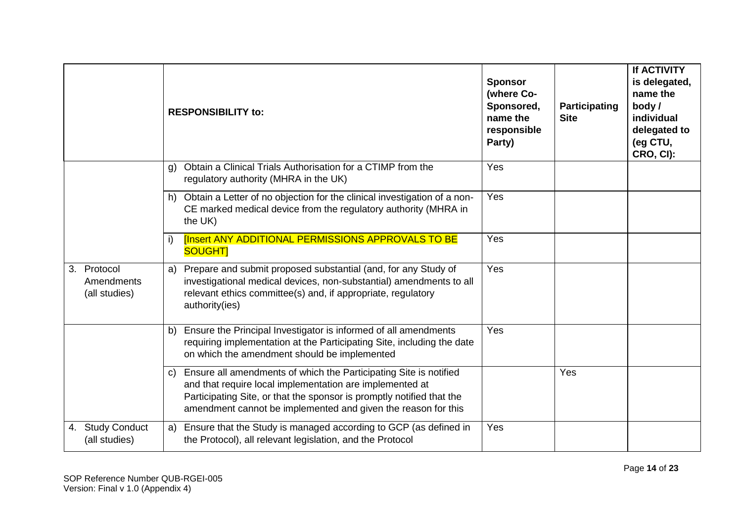|                                            | <b>RESPONSIBILITY to:</b>                                                                                                                                                                                                                                               | Party) | <b>Sponsor</b><br>(where Co-<br>Sponsored,<br>Participating<br>name the<br><b>Site</b><br>responsible | <b>If ACTIVITY</b><br>is delegated,<br>name the<br>body /<br>individual<br>delegated to<br>(eg CTU,<br>CRO, CI): |
|--------------------------------------------|-------------------------------------------------------------------------------------------------------------------------------------------------------------------------------------------------------------------------------------------------------------------------|--------|-------------------------------------------------------------------------------------------------------|------------------------------------------------------------------------------------------------------------------|
|                                            | Obtain a Clinical Trials Authorisation for a CTIMP from the<br>regulatory authority (MHRA in the UK)                                                                                                                                                                    | Yes    |                                                                                                       |                                                                                                                  |
|                                            | h) Obtain a Letter of no objection for the clinical investigation of a non-<br>CE marked medical device from the regulatory authority (MHRA in<br>the UK)                                                                                                               | Yes    |                                                                                                       |                                                                                                                  |
|                                            | <b>[Insert ANY ADDITIONAL PERMISSIONS APPROVALS TO BE</b><br><b>SOUGHT</b>                                                                                                                                                                                              | Yes    |                                                                                                       |                                                                                                                  |
| 3. Protocol<br>Amendments<br>(all studies) | a) Prepare and submit proposed substantial (and, for any Study of<br>investigational medical devices, non-substantial) amendments to all<br>relevant ethics committee(s) and, if appropriate, regulatory<br>authority(ies)                                              | Yes    |                                                                                                       |                                                                                                                  |
|                                            | Ensure the Principal Investigator is informed of all amendments<br>requiring implementation at the Participating Site, including the date<br>on which the amendment should be implemented                                                                               | Yes    |                                                                                                       |                                                                                                                  |
|                                            | Ensure all amendments of which the Participating Site is notified<br>and that require local implementation are implemented at<br>Participating Site, or that the sponsor is promptly notified that the<br>amendment cannot be implemented and given the reason for this |        | Yes                                                                                                   |                                                                                                                  |
| 4. Study Conduct<br>(all studies)          | a) Ensure that the Study is managed according to GCP (as defined in<br>the Protocol), all relevant legislation, and the Protocol                                                                                                                                        | Yes    |                                                                                                       |                                                                                                                  |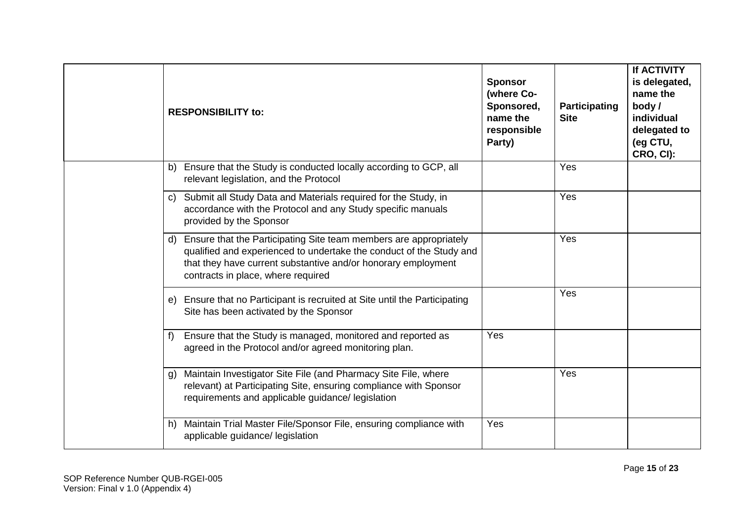|    | <b>RESPONSIBILITY to:</b>                                                                                                                                                                                                                          | <b>Sponsor</b><br>(where Co-<br>Sponsored,<br>name the<br>responsible<br>Party) | Participating<br><b>Site</b> | If ACTIVITY<br>is delegated,<br>name the<br>body/<br>individual<br>delegated to<br>(eg CTU,<br>CRO, CI): |
|----|----------------------------------------------------------------------------------------------------------------------------------------------------------------------------------------------------------------------------------------------------|---------------------------------------------------------------------------------|------------------------------|----------------------------------------------------------------------------------------------------------|
| b) | Ensure that the Study is conducted locally according to GCP, all<br>relevant legislation, and the Protocol                                                                                                                                         |                                                                                 | Yes                          |                                                                                                          |
| C) | Submit all Study Data and Materials required for the Study, in<br>accordance with the Protocol and any Study specific manuals<br>provided by the Sponsor                                                                                           |                                                                                 | Yes                          |                                                                                                          |
|    | d) Ensure that the Participating Site team members are appropriately<br>qualified and experienced to undertake the conduct of the Study and<br>that they have current substantive and/or honorary employment<br>contracts in place, where required |                                                                                 | Yes                          |                                                                                                          |
| e) | Ensure that no Participant is recruited at Site until the Participating<br>Site has been activated by the Sponsor                                                                                                                                  |                                                                                 | Yes                          |                                                                                                          |
| f) | Ensure that the Study is managed, monitored and reported as<br>agreed in the Protocol and/or agreed monitoring plan.                                                                                                                               | Yes                                                                             |                              |                                                                                                          |
|    | Maintain Investigator Site File (and Pharmacy Site File, where<br>relevant) at Participating Site, ensuring compliance with Sponsor<br>requirements and applicable guidance/ legislation                                                           |                                                                                 | Yes                          |                                                                                                          |
| h) | Maintain Trial Master File/Sponsor File, ensuring compliance with<br>applicable guidance/ legislation                                                                                                                                              | Yes                                                                             |                              |                                                                                                          |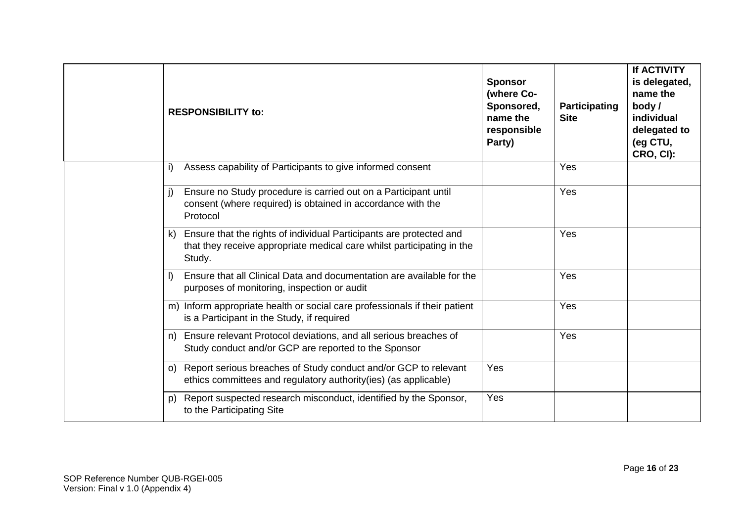|    | <b>RESPONSIBILITY to:</b>                                                                                                                               | <b>Sponsor</b><br>(where Co-<br>Sponsored,<br>name the<br>responsible<br>Party) | Participating<br><b>Site</b> | <b>If ACTIVITY</b><br>is delegated,<br>name the<br>body/<br>individual<br>delegated to<br>(eg CTU,<br>CRO, CI): |
|----|---------------------------------------------------------------------------------------------------------------------------------------------------------|---------------------------------------------------------------------------------|------------------------------|-----------------------------------------------------------------------------------------------------------------|
| i) | Assess capability of Participants to give informed consent                                                                                              |                                                                                 | Yes                          |                                                                                                                 |
|    | Ensure no Study procedure is carried out on a Participant until<br>consent (where required) is obtained in accordance with the<br>Protocol              |                                                                                 | Yes                          |                                                                                                                 |
| k) | Ensure that the rights of individual Participants are protected and<br>that they receive appropriate medical care whilst participating in the<br>Study. |                                                                                 | Yes                          |                                                                                                                 |
|    | Ensure that all Clinical Data and documentation are available for the<br>purposes of monitoring, inspection or audit                                    |                                                                                 | Yes                          |                                                                                                                 |
|    | m) Inform appropriate health or social care professionals if their patient<br>is a Participant in the Study, if required                                |                                                                                 | Yes                          |                                                                                                                 |
| n) | Ensure relevant Protocol deviations, and all serious breaches of<br>Study conduct and/or GCP are reported to the Sponsor                                |                                                                                 | Yes                          |                                                                                                                 |
|    | o) Report serious breaches of Study conduct and/or GCP to relevant<br>ethics committees and regulatory authority(ies) (as applicable)                   | Yes                                                                             |                              |                                                                                                                 |
| p) | Report suspected research misconduct, identified by the Sponsor,<br>to the Participating Site                                                           | Yes                                                                             |                              |                                                                                                                 |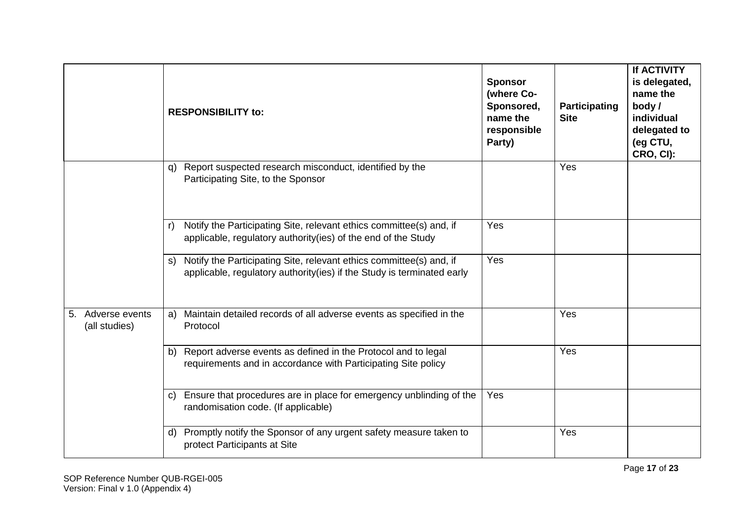|                                    |              | <b>RESPONSIBILITY to:</b>                                                                                                                     | <b>Sponsor</b><br>(where Co-<br>Sponsored,<br>name the<br>responsible<br>Party) | Participating<br><b>Site</b> | <b>If ACTIVITY</b><br>is delegated,<br>name the<br>body/<br>individual<br>delegated to<br>(eg CTU,<br>CRO, CI): |
|------------------------------------|--------------|-----------------------------------------------------------------------------------------------------------------------------------------------|---------------------------------------------------------------------------------|------------------------------|-----------------------------------------------------------------------------------------------------------------|
|                                    | q)           | Report suspected research misconduct, identified by the<br>Participating Site, to the Sponsor                                                 |                                                                                 | Yes                          |                                                                                                                 |
|                                    | r)           | Notify the Participating Site, relevant ethics committee(s) and, if<br>applicable, regulatory authority(ies) of the end of the Study          | Yes                                                                             |                              |                                                                                                                 |
|                                    | s)           | Notify the Participating Site, relevant ethics committee(s) and, if<br>applicable, regulatory authority(ies) if the Study is terminated early | Yes                                                                             |                              |                                                                                                                 |
| 5. Adverse events<br>(all studies) |              | a) Maintain detailed records of all adverse events as specified in the<br>Protocol                                                            |                                                                                 | Yes                          |                                                                                                                 |
|                                    | b)           | Report adverse events as defined in the Protocol and to legal<br>requirements and in accordance with Participating Site policy                |                                                                                 | Yes                          |                                                                                                                 |
|                                    | $\mathsf{C}$ | Ensure that procedures are in place for emergency unblinding of the<br>randomisation code. (If applicable)                                    | Yes                                                                             |                              |                                                                                                                 |
|                                    | d)           | Promptly notify the Sponsor of any urgent safety measure taken to<br>protect Participants at Site                                             |                                                                                 | Yes                          |                                                                                                                 |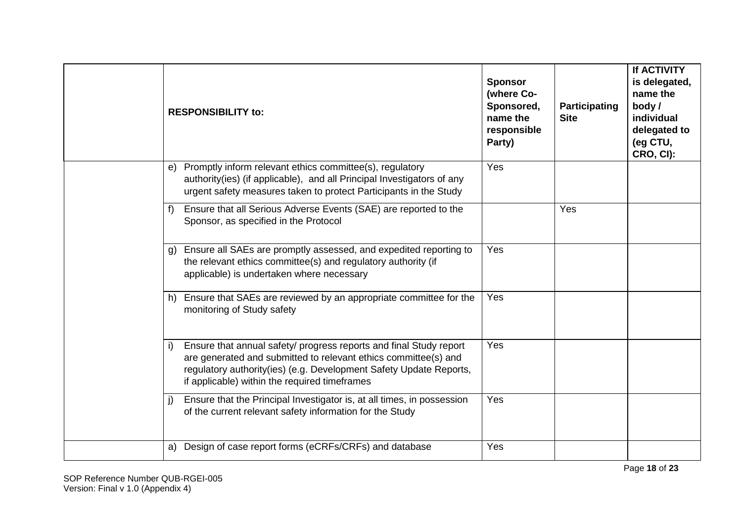|    | <b>RESPONSIBILITY to:</b>                                                                                                                                                                                                                                    | <b>Sponsor</b><br>(where Co-<br>Sponsored,<br>name the<br>responsible<br>Party) | Participating<br><b>Site</b> | <b>If ACTIVITY</b><br>is delegated,<br>name the<br>body/<br>individual<br>delegated to<br>(eg CTU,<br>CRO, CI): |
|----|--------------------------------------------------------------------------------------------------------------------------------------------------------------------------------------------------------------------------------------------------------------|---------------------------------------------------------------------------------|------------------------------|-----------------------------------------------------------------------------------------------------------------|
| e) | Promptly inform relevant ethics committee(s), regulatory<br>authority(ies) (if applicable), and all Principal Investigators of any<br>urgent safety measures taken to protect Participants in the Study                                                      | Yes                                                                             |                              |                                                                                                                 |
| f  | Ensure that all Serious Adverse Events (SAE) are reported to the<br>Sponsor, as specified in the Protocol                                                                                                                                                    |                                                                                 | Yes                          |                                                                                                                 |
| g) | Ensure all SAEs are promptly assessed, and expedited reporting to<br>the relevant ethics committee(s) and regulatory authority (if<br>applicable) is undertaken where necessary                                                                              | Yes                                                                             |                              |                                                                                                                 |
|    | Ensure that SAEs are reviewed by an appropriate committee for the<br>monitoring of Study safety                                                                                                                                                              | Yes                                                                             |                              |                                                                                                                 |
| i) | Ensure that annual safety/ progress reports and final Study report<br>are generated and submitted to relevant ethics committee(s) and<br>regulatory authority(ies) (e.g. Development Safety Update Reports,<br>if applicable) within the required timeframes | Yes                                                                             |                              |                                                                                                                 |
| j) | Ensure that the Principal Investigator is, at all times, in possession<br>of the current relevant safety information for the Study                                                                                                                           | Yes                                                                             |                              |                                                                                                                 |
| a) | Design of case report forms (eCRFs/CRFs) and database                                                                                                                                                                                                        | Yes                                                                             |                              |                                                                                                                 |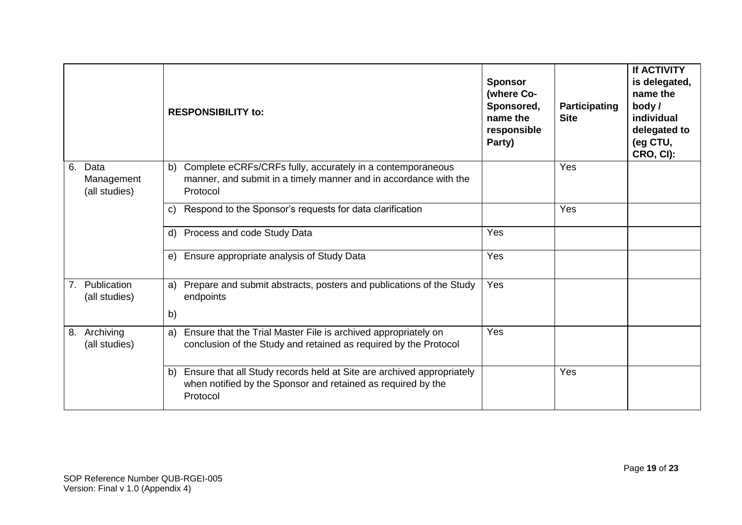|    |                                     | <b>RESPONSIBILITY to:</b>                                                                                                                               | <b>Sponsor</b><br>(where Co-<br>Sponsored,<br>name the<br>responsible<br>Party) | <b>Participating</b><br><b>Site</b> | <b>If ACTIVITY</b><br>is delegated,<br>name the<br>body/<br>individual<br>delegated to<br>(eg CTU,<br>CRO, CI): |
|----|-------------------------------------|---------------------------------------------------------------------------------------------------------------------------------------------------------|---------------------------------------------------------------------------------|-------------------------------------|-----------------------------------------------------------------------------------------------------------------|
| 6. | Data<br>Management<br>(all studies) | Complete eCRFs/CRFs fully, accurately in a contemporaneous<br>b)<br>manner, and submit in a timely manner and in accordance with the<br>Protocol        |                                                                                 | <b>Yes</b>                          |                                                                                                                 |
|    |                                     | Respond to the Sponsor's requests for data clarification<br>$\mathcal{C}$                                                                               |                                                                                 | Yes                                 |                                                                                                                 |
|    |                                     | Process and code Study Data<br>d)                                                                                                                       | Yes                                                                             |                                     |                                                                                                                 |
|    |                                     | Ensure appropriate analysis of Study Data<br>e)                                                                                                         | Yes                                                                             |                                     |                                                                                                                 |
|    | 7. Publication<br>(all studies)     | Prepare and submit abstracts, posters and publications of the Study<br>a)<br>endpoints<br>b)                                                            | Yes                                                                             |                                     |                                                                                                                 |
| 8. | Archiving<br>(all studies)          | Ensure that the Trial Master File is archived appropriately on<br>a)<br>conclusion of the Study and retained as required by the Protocol                | Yes                                                                             |                                     |                                                                                                                 |
|    |                                     | Ensure that all Study records held at Site are archived appropriately<br>b)<br>when notified by the Sponsor and retained as required by the<br>Protocol |                                                                                 | <b>Yes</b>                          |                                                                                                                 |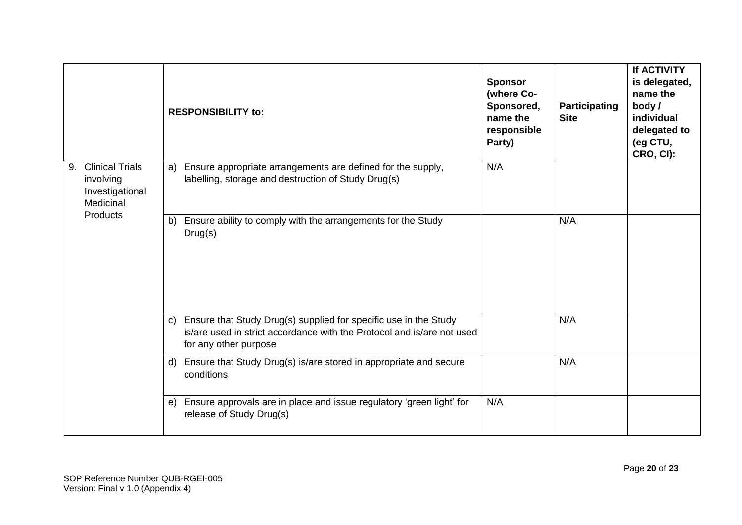|                                                                           | <b>RESPONSIBILITY to:</b>                                                                                                                                              | <b>Sponsor</b><br>(where Co-<br>Sponsored,<br>name the<br>responsible<br>Party) | Participating<br><b>Site</b> | If ACTIVITY<br>is delegated,<br>name the<br>body/<br>individual<br>delegated to<br>(eg CTU,<br>CRO, CI): |
|---------------------------------------------------------------------------|------------------------------------------------------------------------------------------------------------------------------------------------------------------------|---------------------------------------------------------------------------------|------------------------------|----------------------------------------------------------------------------------------------------------|
| <b>Clinical Trials</b><br>9.<br>involving<br>Investigational<br>Medicinal | a) Ensure appropriate arrangements are defined for the supply,<br>labelling, storage and destruction of Study Drug(s)                                                  | N/A                                                                             |                              |                                                                                                          |
| Products                                                                  | Ensure ability to comply with the arrangements for the Study<br>b)<br>Drug(s)                                                                                          |                                                                                 | N/A                          |                                                                                                          |
|                                                                           | c) Ensure that Study Drug(s) supplied for specific use in the Study<br>is/are used in strict accordance with the Protocol and is/are not used<br>for any other purpose |                                                                                 | N/A                          |                                                                                                          |
|                                                                           | d) Ensure that Study Drug(s) is/are stored in appropriate and secure<br>conditions                                                                                     |                                                                                 | N/A                          |                                                                                                          |
|                                                                           | Ensure approvals are in place and issue regulatory 'green light' for<br>e)<br>release of Study Drug(s)                                                                 | N/A                                                                             |                              |                                                                                                          |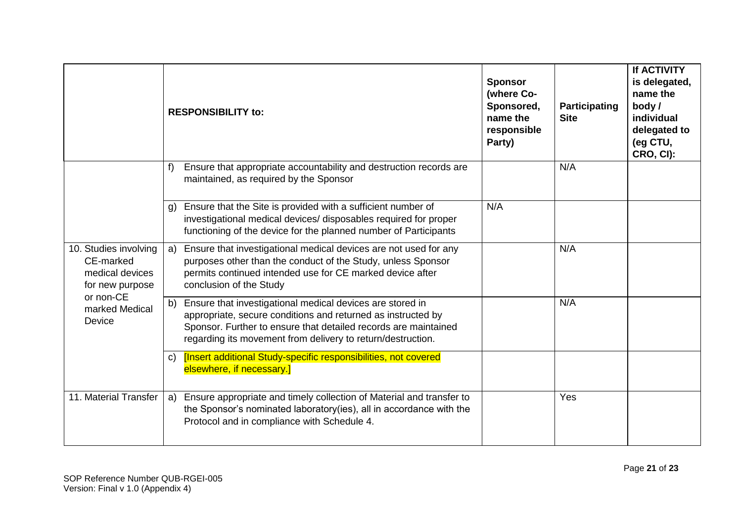|                                                                          |    | <b>RESPONSIBILITY to:</b>                                                                                                                                                                                                                                   | <b>Sponsor</b><br>(where Co-<br>Sponsored,<br>name the<br>responsible<br>Party) | <b>Participating</b><br><b>Site</b> | <b>If ACTIVITY</b><br>is delegated,<br>name the<br>body /<br>individual<br>delegated to<br>(eg CTU,<br>CRO, CI): |
|--------------------------------------------------------------------------|----|-------------------------------------------------------------------------------------------------------------------------------------------------------------------------------------------------------------------------------------------------------------|---------------------------------------------------------------------------------|-------------------------------------|------------------------------------------------------------------------------------------------------------------|
|                                                                          | f  | Ensure that appropriate accountability and destruction records are<br>maintained, as required by the Sponsor                                                                                                                                                |                                                                                 | N/A                                 |                                                                                                                  |
|                                                                          |    | Ensure that the Site is provided with a sufficient number of<br>investigational medical devices/ disposables required for proper<br>functioning of the device for the planned number of Participants                                                        | N/A                                                                             |                                     |                                                                                                                  |
| 10. Studies involving<br>CE-marked<br>medical devices<br>for new purpose | a) | Ensure that investigational medical devices are not used for any<br>purposes other than the conduct of the Study, unless Sponsor<br>permits continued intended use for CE marked device after<br>conclusion of the Study                                    |                                                                                 | N/A                                 |                                                                                                                  |
| or non-CE<br>marked Medical<br>Device                                    | b) | Ensure that investigational medical devices are stored in<br>appropriate, secure conditions and returned as instructed by<br>Sponsor. Further to ensure that detailed records are maintained<br>regarding its movement from delivery to return/destruction. |                                                                                 | N/A                                 |                                                                                                                  |
|                                                                          | C) | [Insert additional Study-specific responsibilities, not covered<br>elsewhere, if necessary.]                                                                                                                                                                |                                                                                 |                                     |                                                                                                                  |
| 11. Material Transfer                                                    | a) | Ensure appropriate and timely collection of Material and transfer to<br>the Sponsor's nominated laboratory(ies), all in accordance with the<br>Protocol and in compliance with Schedule 4.                                                                  |                                                                                 | Yes                                 |                                                                                                                  |